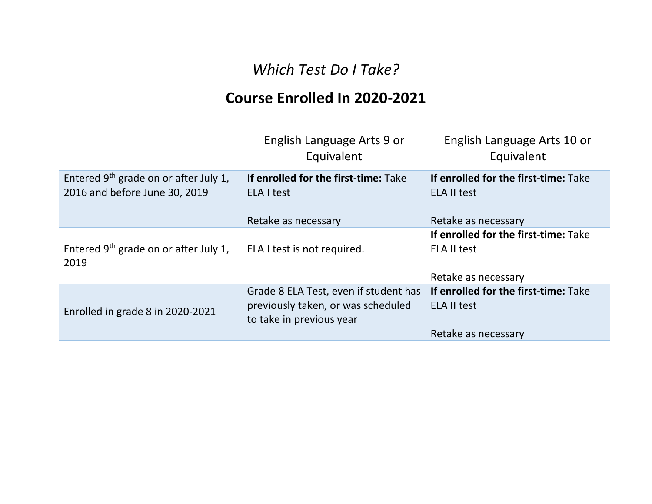## *Which Test Do I Take?*

## **Course Enrolled In 2020-2021**

|                                                                          | English Language Arts 9 or<br>Equivalent                                                                | English Language Arts 10 or<br>Equivalent                                         |
|--------------------------------------------------------------------------|---------------------------------------------------------------------------------------------------------|-----------------------------------------------------------------------------------|
| Entered $9th$ grade on or after July 1,<br>2016 and before June 30, 2019 | If enrolled for the first-time: Take<br>ELA I test                                                      | If enrolled for the first-time: Take<br><b>ELA II test</b>                        |
|                                                                          | Retake as necessary                                                                                     | Retake as necessary                                                               |
| Entered $9th$ grade on or after July 1,<br>2019                          | ELA I test is not required.                                                                             | If enrolled for the first-time: Take<br><b>ELA II test</b>                        |
|                                                                          |                                                                                                         | Retake as necessary                                                               |
| Enrolled in grade 8 in 2020-2021                                         | Grade 8 ELA Test, even if student has<br>previously taken, or was scheduled<br>to take in previous year | If enrolled for the first-time: Take<br><b>ELA II test</b><br>Retake as necessary |